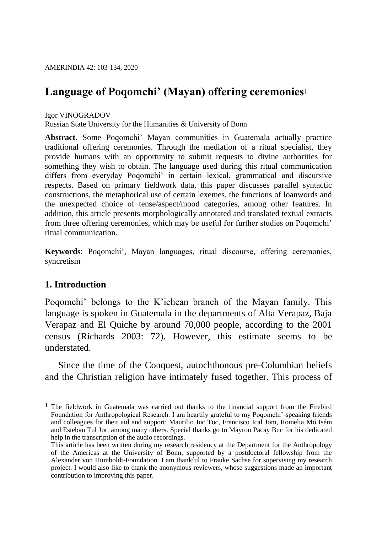# **Language of Poqomchi' (Mayan) offering ceremonies**<sup>1</sup>

### Igor VINOGRADOV

Russian State University for the Humanities & University of Bonn

**Abstract**. Some Poqomchi' Mayan communities in Guatemala actually practice traditional offering ceremonies. Through the mediation of a ritual specialist, they provide humans with an opportunity to submit requests to divine authorities for something they wish to obtain. The language used during this ritual communication differs from everyday Poqomchi' in certain lexical, grammatical and discursive respects. Based on primary fieldwork data, this paper discusses parallel syntactic constructions, the metaphorical use of certain lexemes, the functions of loanwords and the unexpected choice of tense/aspect/mood categories, among other features. In addition, this article presents morphologically annotated and translated textual extracts from three offering ceremonies, which may be useful for further studies on Poqomchi' ritual communication.

**Keywords**: Poqomchi', Mayan languages, ritual discourse, offering ceremonies, syncretism

## **1. Introduction**

Poqomchi' belongs to the K'ichean branch of the Mayan family. This language is spoken in Guatemala in the departments of Alta Verapaz, Baja Verapaz and El Quiche by around 70,000 people, according to the 2001 census (Richards 2003: 72). However, this estimate seems to be understated.

Since the time of the Conquest, autochthonous pre-Columbian beliefs and the Christian religion have intimately fused together. This process of

 $\overline{a}$ <sup>1</sup> The fieldwork in Guatemala was carried out thanks to the financial support from the Firebird Foundation for Anthropological Research. I am heartily grateful to my Poqomchi'-speaking friends and colleagues for their aid and support: Maurilio Juc Toc, Francisco Ical Jom, Romelia Mó Isém and Esteban Tul Jor, among many others. Special thanks go to Mayron Pacay Buc for his dedicated help in the transcription of the audio recordings.

This article has been written during my research residency at the Department for the Anthropology of the Americas at the University of Bonn, supported by a postdoctoral fellowship from the Alexander von Humboldt-Foundation. I am thankful to Frauke Sachse for supervising my research project. I would also like to thank the anonymous reviewers, whose suggestions made an important contribution to improving this paper.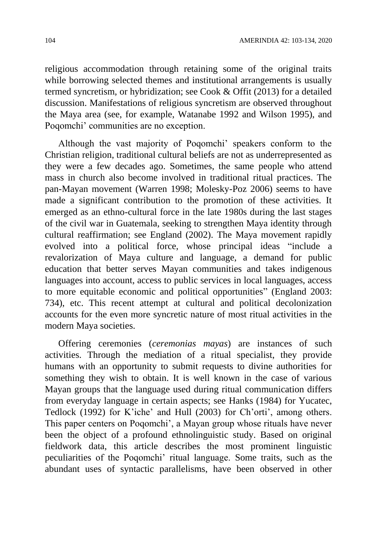religious accommodation through retaining some of the original traits while borrowing selected themes and institutional arrangements is usually termed syncretism, or hybridization; see Cook & Offit (2013) for a detailed discussion. Manifestations of religious syncretism are observed throughout the Maya area (see, for example, Watanabe 1992 and Wilson 1995), and Poqomchi' communities are no exception.

Although the vast majority of Poqomchi' speakers conform to the Christian religion, traditional cultural beliefs are not as underrepresented as they were a few decades ago. Sometimes, the same people who attend mass in church also become involved in traditional ritual practices. The pan-Mayan movement (Warren 1998; Molesky-Poz 2006) seems to have made a significant contribution to the promotion of these activities. It emerged as an ethno-cultural force in the late 1980s during the last stages of the civil war in Guatemala, seeking to strengthen Maya identity through cultural reaffirmation; see England (2002). The Maya movement rapidly evolved into a political force, whose principal ideas "include a revalorization of Maya culture and language, a demand for public education that better serves Mayan communities and takes indigenous languages into account, access to public services in local languages, access to more equitable economic and political opportunities" (England 2003: 734), etc. This recent attempt at cultural and political decolonization accounts for the even more syncretic nature of most ritual activities in the modern Maya societies.

Offering ceremonies (*ceremonias mayas*) are instances of such activities. Through the mediation of a ritual specialist, they provide humans with an opportunity to submit requests to divine authorities for something they wish to obtain. It is well known in the case of various Mayan groups that the language used during ritual communication differs from everyday language in certain aspects; see Hanks (1984) for Yucatec, Tedlock (1992) for K'iche' and Hull (2003) for Ch'orti', among others. This paper centers on Poqomchi', a Mayan group whose rituals have never been the object of a profound ethnolinguistic study. Based on original fieldwork data, this article describes the most prominent linguistic peculiarities of the Poqomchi' ritual language. Some traits, such as the abundant uses of syntactic parallelisms, have been observed in other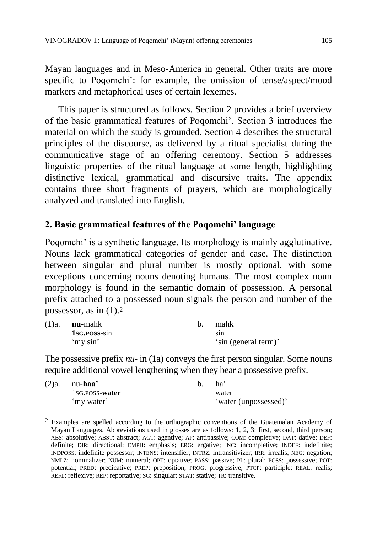Mayan languages and in Meso-America in general. Other traits are more specific to Poqomchi': for example, the omission of tense/aspect/mood markers and metaphorical uses of certain lexemes.

This paper is structured as follows. Section 2 provides a brief overview of the basic grammatical features of Poqomchi'. Section 3 introduces the material on which the study is grounded. Section 4 describes the structural principles of the discourse, as delivered by a ritual specialist during the communicative stage of an offering ceremony. Section 5 addresses linguistic properties of the ritual language at some length, highlighting distinctive lexical, grammatical and discursive traits. The appendix contains three short fragments of prayers, which are morphologically analyzed and translated into English.

### **2. Basic grammatical features of the Poqomchi' language**

Poqomchi' is a synthetic language. Its morphology is mainly agglutinative. Nouns lack grammatical categories of gender and case. The distinction between singular and plural number is mostly optional, with some exceptions concerning nouns denoting humans. The most complex noun morphology is found in the semantic domain of possession. A personal prefix attached to a possessed noun signals the person and number of the possessor, as in  $(1)$ .<sup>2</sup>

| $(1)a.$ <b>nu</b> -mahk | mahk                        |
|-------------------------|-----------------------------|
| 1sg. POSS-sin           | <sub>s</sub> <sub>1</sub> n |
| 'my sin'                | 'sin (general term)'        |

The possessive prefix *nu-* in (1a) conveys the first person singular. Some nouns require additional vowel lengthening when they bear a possessive prefix.

| $(2)a.$ nu-haa' | ha <sup>3</sup>       |
|-----------------|-----------------------|
| 1sg. POSS-water | water                 |
| 'my water'      | 'water (unpossessed)' |

 $\overline{a}$ <sup>2</sup> Examples are spelled according to the orthographic conventions of the Guatemalan Academy of Mayan Languages. Abbreviations used in glosses are as follows: 1, 2, 3: first, second, third person; ABS: absolutive; ABST: abstract; AGT: agentive; AP: antipassive; COM: completive; DAT: dative; DEF: definite; DIR: directional; EMPH: emphasis; ERG: ergative; INC: incompletive; INDEF: indefinite; INDPOSS: indefinite possessor; INTENS: intensifier; INTRZ: intransitivizer; IRR: irrealis; NEG: negation; NMLZ: nominalizer; NUM: numeral; OPT: optative; PASS: passive; PL: plural; POSS: possessive; POT: potential; PRED: predicative; PREP: preposition; PROG: progressive; PTCP: participle; REAL: realis; REFL: reflexive; REP: reportative; SG: singular; STAT: stative; TR: transitive.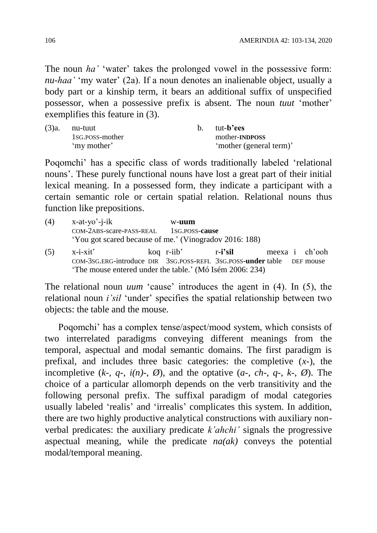The noun *ha'* 'water' takes the prolonged vowel in the possessive form: *nu-haa'* 'my water' (2a). If a noun denotes an inalienable object, usually a body part or a kinship term, it bears an additional suffix of unspecified possessor, when a possessive prefix is absent. The noun *tuut* 'mother' exemplifies this feature in (3).

| $(3)a$ . nu-tuut | h — | tut- <b>b</b> 'ees      |
|------------------|-----|-------------------------|
| 1sg.poss-mother  |     | mother-INDPOSS          |
| 'my mother'      |     | 'mother (general term)' |

Poqomchi' has a specific class of words traditionally labeled 'relational nouns'. These purely functional nouns have lost a great part of their initial lexical meaning. In a possessed form, they indicate a participant with a certain semantic role or certain spatial relation. Relational nouns thus function like prepositions.

(4) x-at-yo'-j-ik w-**uum** COM-2ABS-scare-PASS-REAL 1SG.POSS-**cause** 'You got scared because of me.' (Vinogradov 2016: 188) (5) x-i-xit' koq r-iib' r**-i'sil** meexa i ch'ooh COM-3SG.ERG-introduce DIR 3SG.POSS-REFL 3SG.POSS**-under** table DEF mouse 'The mouse entered under the table.' (Mó Isém 2006: 234)

The relational noun *uum* 'cause' introduces the agent in (4). In (5), the relational noun *i'sil* 'under' specifies the spatial relationship between two objects: the table and the mouse.

Poqomchi' has a complex tense/aspect/mood system, which consists of two interrelated paradigms conveying different meanings from the temporal, aspectual and modal semantic domains. The first paradigm is prefixal, and includes three basic categories: the completive (*x-*), the incompletive  $(k-, q-, i(n), \emptyset)$ , and the optative  $(a-, ch-, q-, k-, \emptyset)$ . The choice of a particular allomorph depends on the verb transitivity and the following personal prefix. The suffixal paradigm of modal categories usually labeled 'realis' and 'irrealis' complicates this system. In addition, there are two highly productive analytical constructions with auxiliary nonverbal predicates: the auxiliary predicate *k'ahchi'* signals the progressive aspectual meaning, while the predicate *na(ak)* conveys the potential modal/temporal meaning.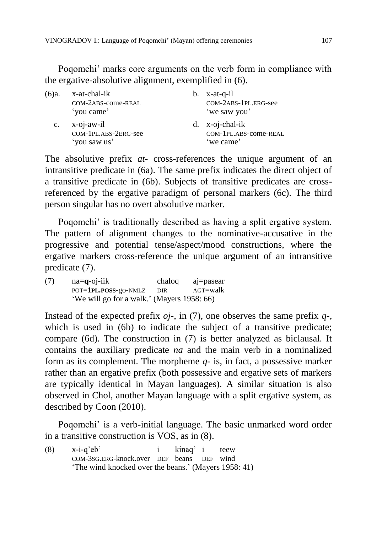Poqomchi' marks core arguments on the verb form in compliance with the ergative-absolutive alignment, exemplified in (6).

| (6)a.          | x-at-chal-ik<br>COM-2ABS-come-REAL<br>'you came'      | $b.$ x-at-q-il<br>COM-2ABS-1PL.ERG-see<br>'we saw you'  |
|----------------|-------------------------------------------------------|---------------------------------------------------------|
| $\mathbf{c}$ . | $x$ -oj-aw-il<br>COM-1PL.ABS-2ERG-see<br>'you saw us' | $d.$ x-oj-chal-ik<br>COM-1PL.ABS-come-REAL<br>'we came' |

The absolutive prefix *at-* cross-references the unique argument of an intransitive predicate in (6a). The same prefix indicates the direct object of a transitive predicate in (6b). Subjects of transitive predicates are crossreferenced by the ergative paradigm of personal markers (6c). The third person singular has no overt absolutive marker.

Poqomchi' is traditionally described as having a split ergative system. The pattern of alignment changes to the nominative-accusative in the progressive and potential tense/aspect/mood constructions, where the ergative markers cross-reference the unique argument of an intransitive predicate (7).

(7) na=**q**-oj-iik chaloq aj=pasear POT=**1PL.POSS**-go-NMLZ DIR AGT=walk 'We will go for a walk.' (Mayers 1958: 66)

Instead of the expected prefix *oj-*, in (7), one observes the same prefix *q-*, which is used in (6b) to indicate the subject of a transitive predicate; compare (6d). The construction in (7) is better analyzed as biclausal. It contains the auxiliary predicate *na* and the main verb in a nominalized form as its complement. The morpheme *q-* is, in fact, a possessive marker rather than an ergative prefix (both possessive and ergative sets of markers are typically identical in Mayan languages). A similar situation is also observed in Chol, another Mayan language with a split ergative system, as described by Coon (2010).

Poqomchi' is a verb-initial language. The basic unmarked word order in a transitive construction is VOS, as in (8).

(8) x-i-q'eb' i kinaq' i teew COM-3SG.ERG-knock.over DEF beans DEF wind 'The wind knocked over the beans.' (Mayers 1958: 41)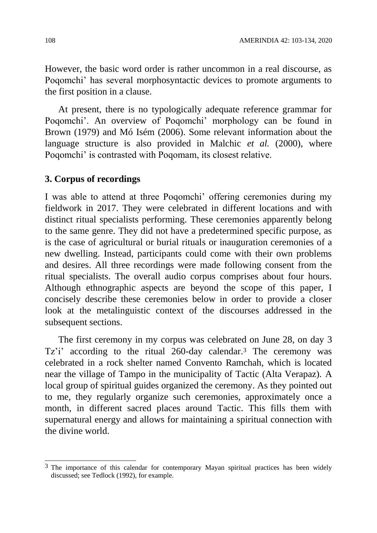However, the basic word order is rather uncommon in a real discourse, as Poqomchi' has several morphosyntactic devices to promote arguments to the first position in a clause.

At present, there is no typologically adequate reference grammar for Poqomchi'. An overview of Poqomchi' morphology can be found in Brown (1979) and Mó Isém (2006). Some relevant information about the language structure is also provided in Malchic *et al.* (2000), where Poqomchi' is contrasted with Poqomam, its closest relative.

### **3. Corpus of recordings**

I was able to attend at three Poqomchi' offering ceremonies during my fieldwork in 2017. They were celebrated in different locations and with distinct ritual specialists performing. These ceremonies apparently belong to the same genre. They did not have a predetermined specific purpose, as is the case of agricultural or burial rituals or inauguration ceremonies of a new dwelling. Instead, participants could come with their own problems and desires. All three recordings were made following consent from the ritual specialists. The overall audio corpus comprises about four hours. Although ethnographic aspects are beyond the scope of this paper, I concisely describe these ceremonies below in order to provide a closer look at the metalinguistic context of the discourses addressed in the subsequent sections.

The first ceremony in my corpus was celebrated on June 28, on day 3 Tz'i' according to the ritual 260-day calendar.<sup>3</sup> The ceremony was celebrated in a rock shelter named Convento Ramchah, which is located near the village of Tampo in the municipality of Tactic (Alta Verapaz). A local group of spiritual guides organized the ceremony. As they pointed out to me, they regularly organize such ceremonies, approximately once a month, in different sacred places around Tactic. This fills them with supernatural energy and allows for maintaining a spiritual connection with the divine world.

 $\overline{a}$  $3$  The importance of this calendar for contemporary Mayan spiritual practices has been widely discussed; see Tedlock (1992), for example.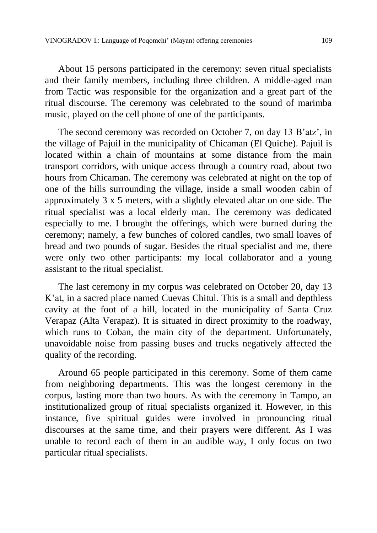About 15 persons participated in the ceremony: seven ritual specialists and their family members, including three children. A middle-aged man from Tactic was responsible for the organization and a great part of the ritual discourse. The ceremony was celebrated to the sound of marimba music, played on the cell phone of one of the participants.

The second ceremony was recorded on October 7, on day 13 B'atz', in the village of Pajuil in the municipality of Chicaman (El Quiche). Pajuil is located within a chain of mountains at some distance from the main transport corridors, with unique access through a country road, about two hours from Chicaman. The ceremony was celebrated at night on the top of one of the hills surrounding the village, inside a small wooden cabin of approximately 3 x 5 meters, with a slightly elevated altar on one side. The ritual specialist was a local elderly man. The ceremony was dedicated especially to me. I brought the offerings, which were burned during the ceremony; namely, a few bunches of colored candles, two small loaves of bread and two pounds of sugar. Besides the ritual specialist and me, there were only two other participants: my local collaborator and a young assistant to the ritual specialist.

The last ceremony in my corpus was celebrated on October 20, day 13 K'at, in a sacred place named Cuevas Chitul. This is a small and depthless cavity at the foot of a hill, located in the municipality of Santa Cruz Verapaz (Alta Verapaz). It is situated in direct proximity to the roadway, which runs to Coban, the main city of the department. Unfortunately, unavoidable noise from passing buses and trucks negatively affected the quality of the recording.

Around 65 people participated in this ceremony. Some of them came from neighboring departments. This was the longest ceremony in the corpus, lasting more than two hours. As with the ceremony in Tampo, an institutionalized group of ritual specialists organized it. However, in this instance, five spiritual guides were involved in pronouncing ritual discourses at the same time, and their prayers were different. As I was unable to record each of them in an audible way, I only focus on two particular ritual specialists.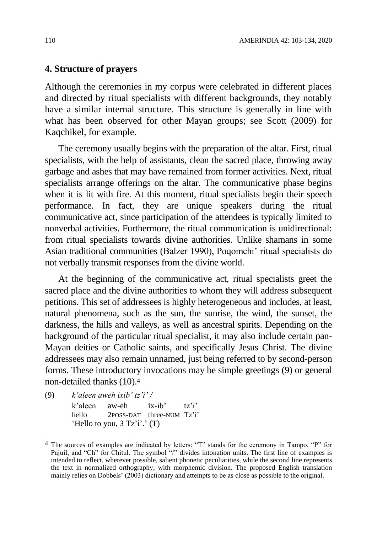## **4. Structure of prayers**

Although the ceremonies in my corpus were celebrated in different places and directed by ritual specialists with different backgrounds, they notably have a similar internal structure. This structure is generally in line with what has been observed for other Mayan groups; see Scott (2009) for Kaqchikel, for example.

The ceremony usually begins with the preparation of the altar. First, ritual specialists, with the help of assistants, clean the sacred place, throwing away garbage and ashes that may have remained from former activities. Next, ritual specialists arrange offerings on the altar. The communicative phase begins when it is lit with fire. At this moment, ritual specialists begin their speech performance. In fact, they are unique speakers during the ritual communicative act, since participation of the attendees is typically limited to nonverbal activities. Furthermore, the ritual communication is unidirectional: from ritual specialists towards divine authorities. Unlike shamans in some Asian traditional communities (Balzer 1990), Poqomchi' ritual specialists do not verbally transmit responses from the divine world.

At the beginning of the communicative act, ritual specialists greet the sacred place and the divine authorities to whom they will address subsequent petitions. This set of addressees is highly heterogeneous and includes, at least, natural phenomena, such as the sun, the sunrise, the wind, the sunset, the darkness, the hills and valleys, as well as ancestral spirits. Depending on the background of the particular ritual specialist, it may also include certain pan-Mayan deities or Catholic saints, and specifically Jesus Christ. The divine addressees may also remain unnamed, just being referred to by second-person forms. These introductory invocations may be simple greetings (9) or general non-detailed thanks (10).<sup>4</sup>

(9) *k'aleen aweh ixib' tz'i' /*

 $\overline{a}$ 

k'aleen aw-eh ix-ib' tz'i' hello 2POSS-DAT three-NUM Tz'i' 'Hello to you,  $3$  Tz'i'.' (T)

<sup>&</sup>lt;sup>4</sup> The sources of examples are indicated by letters: "T" stands for the ceremony in Tampo, "P" for Pajuil, and "Ch" for Chitul. The symbol "/" divides intonation units. The first line of examples is intended to reflect, wherever possible, salient phonetic peculiarities, while the second line represents the text in normalized orthography, with morphemic division. The proposed English translation mainly relies on Dobbels' (2003) dictionary and attempts to be as close as possible to the original.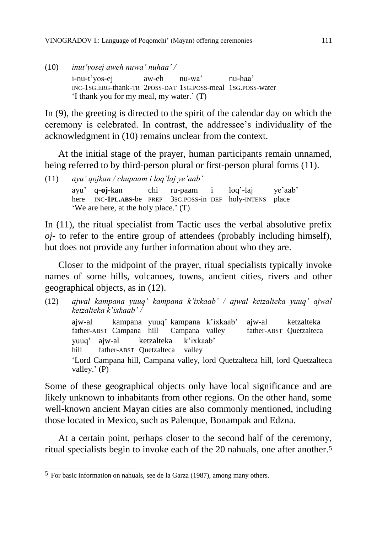(10) *inut'yosej aweh nuwa' nuhaa' /* i-nu-t'yos-ej aw-eh nu-wa' nu-haa' INC-1SG.ERG-thank-TR 2POSS-DAT 1SG.POSS-meal 1SG.POSS-water 'I thank you for my meal, my water.' (T)

In (9), the greeting is directed to the spirit of the calendar day on which the ceremony is celebrated. In contrast, the addressee's individuality of the acknowledgment in (10) remains unclear from the context.

At the initial stage of the prayer, human participants remain unnamed, being referred to by third-person plural or first-person plural forms (11).

(11) *ayu' qojkan / chupaam i loq'laj ye'aab'* ayu' q-**oj**-kan chi ru-paam i loq'-laj ye'aab' here INC-**1PL.ABS**-be PREP 3SG.POSS-in DEF holy-INTENS place 'We are here, at the holy place.' (T)

In (11), the ritual specialist from Tactic uses the verbal absolutive prefix *oj-* to refer to the entire group of attendees (probably including himself), but does not provide any further information about who they are.

Closer to the midpoint of the prayer, ritual specialists typically invoke names of some hills, volcanoes, towns, ancient cities, rivers and other geographical objects, as in (12).

(12) *ajwal kampana yuuq' kampana k'ixkaab' / ajwal ketzalteka yuuq' ajwal ketzalteka k'ixkaab' /* ajw-al kampana yuuq' kampana k'ixkaab' ajw-al ketzalteka father-ABST Campana hill Campana valley father-ABST Quetzalteca yuuq' ajw-al ketzalteka k'ixkaab' hill father-ABST Quetzalteca valley 'Lord Campana hill, Campana valley, lord Quetzalteca hill, lord Quetzalteca valley.' (P)

Some of these geographical objects only have local significance and are likely unknown to inhabitants from other regions. On the other hand, some well-known ancient Mayan cities are also commonly mentioned, including those located in Mexico, such as Palenque, Bonampak and Edzna.

At a certain point, perhaps closer to the second half of the ceremony, ritual specialists begin to invoke each of the 20 nahuals, one after another.<sup>5</sup>

 $\overline{a}$ 5 For basic information on nahuals, see de la Garza (1987), among many others.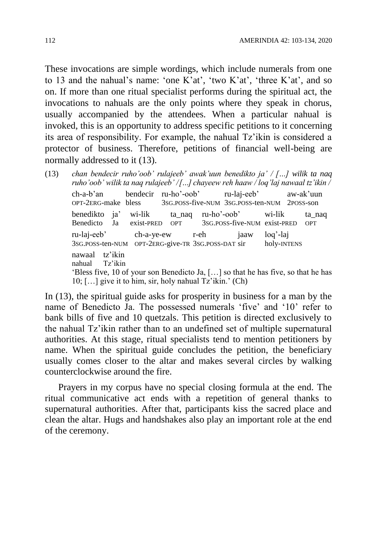These invocations are simple wordings, which include numerals from one to 13 and the nahual's name: 'one K'at', 'two K'at', 'three K'at', and so on. If more than one ritual specialist performs during the spiritual act, the invocations to nahuals are the only points where they speak in chorus, usually accompanied by the attendees. When a particular nahual is invoked, this is an opportunity to address specific petitions to it concerning its area of responsibility. For example, the nahual Tz'ikin is considered a protector of business. Therefore, petitions of financial well-being are normally addressed to it (13).

(13) *chan bendecir ruho'oob' rulajeeb' awak'uun benedikto ja' / […] wilik ta naq ruho'oob' wilik ta naq rulajeeb' / […] chayeew reh haaw / loq'laj nawaal tz'ikin /* ch-a-b'an bendecir ru-ho'-oob' ru-laj-eeb' aw-ak'uun OPT-2ERG-make bless 3SG.POSS-five-NUM 3SG.POSS-ten-NUM 2POSS-son benedikto ja' wi-lik ta\_naq ru-ho'-oob' wi-lik ta\_naq Benedicto Ja exist-PRED OPT 3SG.POSS-five-NUM exist-PRED OPT ru-laj-eeb' ch-a-ye-ew r-eh jaaw loq'-laj 3SG.POSS-ten-NUM OPT-2ERG-give-TR 3SG.POSS-DAT sir holy-INTENS nawaal tz'ikin nahual Tz'ikin 'Bless five, 10 of your son Benedicto Ja, […] so that he has five, so that he has 10;  $[\dots]$  give it to him, sir, holy nahual  $Tz'$ ikin.' (Ch)

In (13), the spiritual guide asks for prosperity in business for a man by the name of Benedicto Ja. The possessed numerals 'five' and '10' refer to bank bills of five and 10 quetzals. This petition is directed exclusively to the nahual Tz'ikin rather than to an undefined set of multiple supernatural authorities. At this stage, ritual specialists tend to mention petitioners by name. When the spiritual guide concludes the petition, the beneficiary usually comes closer to the altar and makes several circles by walking counterclockwise around the fire.

Prayers in my corpus have no special closing formula at the end. The ritual communicative act ends with a repetition of general thanks to supernatural authorities. After that, participants kiss the sacred place and clean the altar. Hugs and handshakes also play an important role at the end of the ceremony.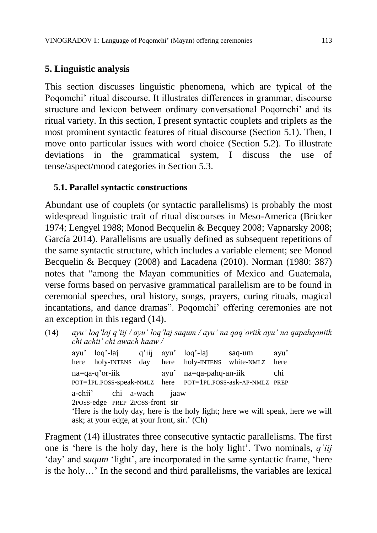## **5. Linguistic analysis**

This section discusses linguistic phenomena, which are typical of the Poqomchi' ritual discourse. It illustrates differences in grammar, discourse structure and lexicon between ordinary conversational Poqomchi' and its ritual variety. In this section, I present syntactic couplets and triplets as the most prominent syntactic features of ritual discourse (Section 5.1). Then, I move onto particular issues with word choice (Section 5.2). To illustrate deviations in the grammatical system, I discuss the use of tense/aspect/mood categories in Section 5.3.

## **5.1. Parallel syntactic constructions**

Abundant use of couplets (or syntactic parallelisms) is probably the most widespread linguistic trait of ritual discourses in Meso-America (Bricker 1974; Lengyel 1988; Monod Becquelin & Becquey 2008; Vapnarsky 2008; García 2014). Parallelisms are usually defined as subsequent repetitions of the same syntactic structure, which includes a variable element; see Monod Becquelin & Becquey (2008) and Lacadena (2010). Norman (1980: 387) notes that "among the Mayan communities of Mexico and Guatemala, verse forms based on pervasive grammatical parallelism are to be found in ceremonial speeches, oral history, songs, prayers, curing rituals, magical incantations, and dance dramas". Poqomchi' offering ceremonies are not an exception in this regard (14).

(14) *ayu' loq'laj q'iij / ayu' loq'laj saqum / ayu' na qaq'oriik ayu' na qapahqaniik chi achii' chi awach haaw /*

ayu' loq'-laj q'iij ayu' loq'-laj saq-um ayu' here holy-INTENS day here holy-INTENS white-NMLZ here na=qa-q'or-iik ayu' na=qa-pahq-an-iik chi POT=1PL.POSS-speak-NMLZ here POT=1PL.POSS-ask-AP-NMLZ PREP a-chii' chi a-wach jaaw 2POSS-edge PREP 2POSS-front sir 'Here is the holy day, here is the holy light; here we will speak, here we will ask; at your edge, at your front, sir.' (Ch)

Fragment (14) illustrates three consecutive syntactic parallelisms. The first one is 'here is the holy day, here is the holy light'. Two nominals, *q'iij* 'day' and *saqum* 'light', are incorporated in the same syntactic frame, 'here is the holy…' In the second and third parallelisms, the variables are lexical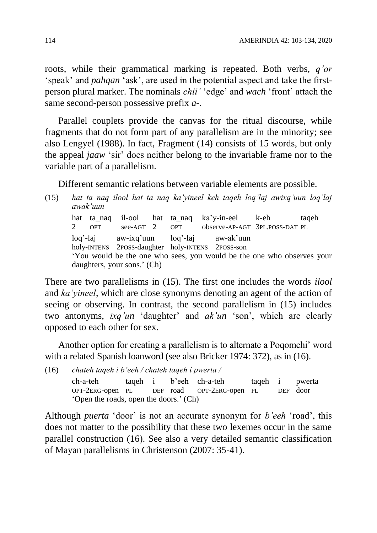roots, while their grammatical marking is repeated. Both verbs, *q'or* 'speak' and *pahqan* 'ask', are used in the potential aspect and take the firstperson plural marker. The nominals *chii'* 'edge' and *wach* 'front' attach the same second-person possessive prefix *a-*.

Parallel couplets provide the canvas for the ritual discourse, while fragments that do not form part of any parallelism are in the minority; see also Lengyel (1988). In fact, Fragment (14) consists of 15 words, but only the appeal *jaaw* 'sir' does neither belong to the invariable frame nor to the variable part of a parallelism.

Different semantic relations between variable elements are possible.

(15) *hat ta naq ilool hat ta naq ka'yineel keh taqeh loq'laj awixq'uun loq'laj awak'uun* hat ta naq il-ool hat ta naq ka'y-in-eel k-eh taqeh 2 OPT see-AGT 2 OPT observe-AP-AGT 3PL.POSS-DAT PL loq'-laj aw-ixq'uun loq'-laj aw-ak'uun holy-INTENS 2POSS-daughter holy-INTENS 2POSS-son

'You would be the one who sees, you would be the one who observes your daughters, your sons.' (Ch)

There are two parallelisms in (15). The first one includes the words *ilool* and *ka'yineel*, which are close synonyms denoting an agent of the action of seeing or observing. In contrast, the second parallelism in (15) includes two antonyms, *ixq'un* 'daughter' and *ak'un* 'son', which are clearly opposed to each other for sex.

Another option for creating a parallelism is to alternate a Poqomchi' word with a related Spanish loanword (see also Bricker 1974: 372), as in (16).

(16) *chateh taqeh i b'eeh / chateh taqeh i pwerta /* ch-a-teh taqeh i b'eeh ch-a-teh taqeh i pwerta OPT-2ERG-open PL DEF road OPT-2ERG-open PL DEF door 'Open the roads, open the doors.' (Ch)

Although *puerta* 'door' is not an accurate synonym for *b'eeh* 'road', this does not matter to the possibility that these two lexemes occur in the same parallel construction (16). See also a very detailed semantic classification of Mayan parallelisms in Christenson (2007: 35-41).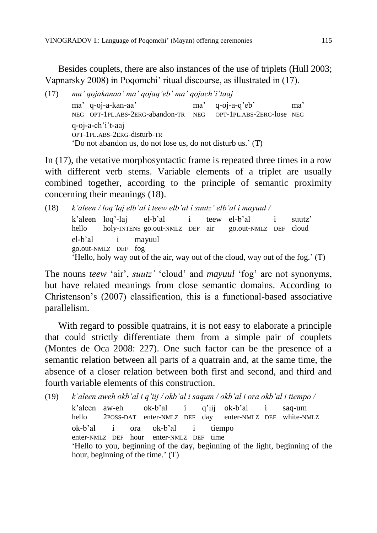Besides couplets, there are also instances of the use of triplets (Hull 2003; Vapnarsky 2008) in Poqomchi' ritual discourse, as illustrated in (17).

(17) *ma' qojakanaa' ma' qojaq'eb' ma' qojach'i'taaj* ma' q-oj-a-kan-aa' ma' q-oj-a-q'eb' ma' NEG OPT-1PL.ABS-2ERG-abandon-TR NEG OPT-1PL.ABS-2ERG-lose NEG q-oj-a-ch'i't-aaj OPT-1PL.ABS-2ERG-disturb-TR 'Do not abandon us, do not lose us, do not disturb us.' (T)

In (17), the vetative morphosyntactic frame is repeated three times in a row with different verb stems. Variable elements of a triplet are usually combined together, according to the principle of semantic proximity concerning their meanings (18).

```
(18) k'aleen / loq'laj elb'al i teew elb'al i suutz' elb'al i mayuul /
k'aleen loq'-laj el-b'al i teew el-b'al i suutz'
hello holy-INTENS go.out-NMLZ DEF air go.out-NMLZ DEF cloud
el-b'al i mayuul
go.out-NMLZ DEF fog
'Hello, holy way out of the air, way out of the cloud, way out of the fog.' (T)
```
The nouns *teew* 'air', *suutz'* 'cloud' and *mayuul* 'fog' are not synonyms, but have related meanings from close semantic domains. According to Christenson's (2007) classification, this is a functional-based associative parallelism.

With regard to possible quatrains, it is not easy to elaborate a principle that could strictly differentiate them from a simple pair of couplets (Montes de Oca 2008: 227). One such factor can be the presence of a semantic relation between all parts of a quatrain and, at the same time, the absence of a closer relation between both first and second, and third and fourth variable elements of this construction.

(19) *k'aleen aweh okb'al i q'iij / okb'al i saqum / okb'al i ora okb'al i tiempo /* k'aleen aw-eh ok-b'al i q'iij ok-b'al i saq-um hello 2POSS-DAT enter-NMLZ DEF day enter-NMLZ DEF white-NMLZ ok-b'al i ora ok-b'al i tiempo enter-NMLZ DEF hour enter-NMLZ DEF time 'Hello to you, beginning of the day, beginning of the light, beginning of the hour, beginning of the time.' (T)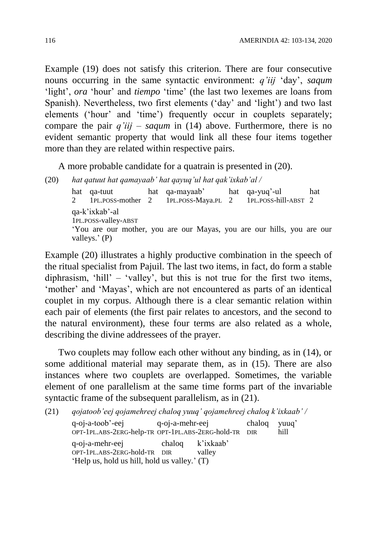Example (19) does not satisfy this criterion. There are four consecutive nouns occurring in the same syntactic environment: *q'iij* 'day', *saqum* 'light', *ora* 'hour' and *tiempo* 'time' (the last two lexemes are loans from Spanish). Nevertheless, two first elements ('day' and 'light') and two last elements ('hour' and 'time') frequently occur in couplets separately; compare the pair *q'iij* – *saqum* in (14) above. Furthermore, there is no evident semantic property that would link all these four items together more than they are related within respective pairs.

A more probable candidate for a quatrain is presented in (20).

(20) *hat qatuut hat qamayaab' hat qayuq'ul hat qak'ixkab'al /* hat qa-tuut hat qa-mayaab' hat qa-yuq'-ul hat 2 1PL.POSS-mother 2 1PL.POSS-Maya.PL 2 1PL.POSS-hill-ABST 2 qa-k'ixkab'-al 1PL.POSS-valley-ABST 'You are our mother, you are our Mayas, you are our hills, you are our valleys.' (P)

Example (20) illustrates a highly productive combination in the speech of the ritual specialist from Pajuil. The last two items, in fact, do form a stable diphrasism, 'hill' – 'valley', but this is not true for the first two items, 'mother' and 'Mayas', which are not encountered as parts of an identical couplet in my corpus. Although there is a clear semantic relation within each pair of elements (the first pair relates to ancestors, and the second to the natural environment), these four terms are also related as a whole, describing the divine addressees of the prayer.

Two couplets may follow each other without any binding, as in (14), or some additional material may separate them, as in (15). There are also instances where two couplets are overlapped. Sometimes, the variable element of one parallelism at the same time forms part of the invariable syntactic frame of the subsequent parallelism, as in (21).

| (21) | qojatoob'eej qojamehreej chaloq yuuq' qojamehreej chaloq k'ixkaab' /                            |                  |        |        |               |
|------|-------------------------------------------------------------------------------------------------|------------------|--------|--------|---------------|
|      | q-oj-a-toob'-eej<br>OPT-1PL.ABS-2ERG-help-TR OPT-1PL.ABS-2ERG-hold-TR DIR                       | q-oj-a-mehr-eej  |        | chalog | yuuq'<br>hill |
|      | q-oj-a-mehr-eej<br>OPT-1PL.ABS-2ERG-hold-TR DIR<br>'Help us, hold us hill, hold us valley.' (T) | chaloq k'ixkaab' | valley |        |               |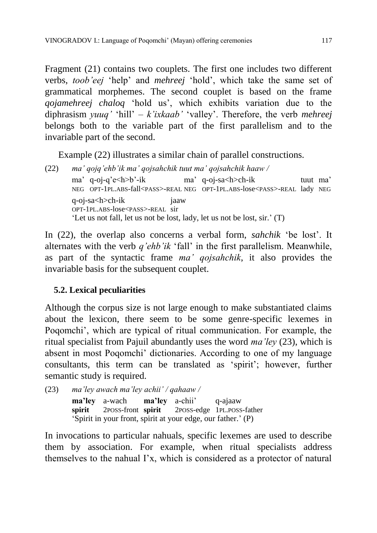Fragment (21) contains two couplets. The first one includes two different verbs, *toob'eej* 'help' and *mehreej* 'hold', which take the same set of grammatical morphemes. The second couplet is based on the frame *qojamehreej chaloq* 'hold us', which exhibits variation due to the diphrasism *yuuq'* 'hill' – *k'ixkaab'* 'valley'. Therefore, the verb *mehreej* belongs both to the variable part of the first parallelism and to the invariable part of the second.

Example (22) illustrates a similar chain of parallel constructions.

(22) *ma' qojq'ehb'ik ma' qojsahchik tuut ma' qojsahchik haaw /* ma' q-oj-q'e<h>b'-ik ma' q-oj-sa<h>ch-ik tuut ma' NEG OPT-1PL.ABS-fall<PASS>-REAL NEG OPT-1PL.ABS-lose<PASS>-REAL lady NEG q-oj-sa<h>ch-ik jaaw OPT-1PL.ABS-lose<PASS>-REAL sir 'Let us not fall, let us not be lost, lady, let us not be lost, sir.' (T)

In (22), the overlap also concerns a verbal form, *sahchik* 'be lost'. It alternates with the verb *q'ehb'ik* 'fall' in the first parallelism. Meanwhile, as part of the syntactic frame *ma' qojsahchik*, it also provides the invariable basis for the subsequent couplet.

# **5.2. Lexical peculiarities**

Although the corpus size is not large enough to make substantiated claims about the lexicon, there seem to be some genre-specific lexemes in Poqomchi', which are typical of ritual communication. For example, the ritual specialist from Pajuil abundantly uses the word *ma'ley* (23), which is absent in most Poqomchi' dictionaries. According to one of my language consultants, this term can be translated as 'spirit'; however, further semantic study is required.

```
(23) ma'ley awach ma'ley achii' / qahaaw /
```
**ma'ley** a-wach **ma'ley** a-chii' q-ajaaw **spirit** 2POSS-front **spirit** 2POSS-edge 1PL.POSS-father 'Spirit in your front, spirit at your edge, our father.' (P)

In invocations to particular nahuals, specific lexemes are used to describe them by association. For example, when ritual specialists address themselves to the nahual I'x, which is considered as a protector of natural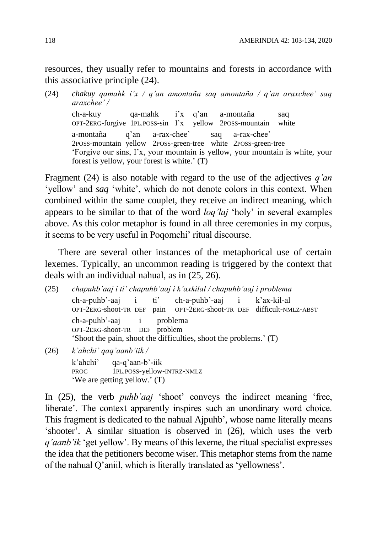resources, they usually refer to mountains and forests in accordance with this associative principle (24).

(24) *chakuy qamahk i'x / q'an amontaña saq amontaña / q'an araxchee' saq araxchee' /*

ch-a-kuy qa-mahk i'x q'an a-montaña saq OPT-2ERG-forgive 1PL.POSS-sin I'x yellow 2POSS-mountain white a-montaña q'an a-rax-chee' saq a-rax-chee' 2POSS-mountain yellow 2POSS-green-tree white 2POSS-green-tree 'Forgive our sins, I'x, your mountain is yellow, your mountain is white, your forest is yellow, your forest is white.' (T)

Fragment (24) is also notable with regard to the use of the adjectives *q'an* 'yellow' and *saq* 'white', which do not denote colors in this context. When combined within the same couplet, they receive an indirect meaning, which appears to be similar to that of the word *loq'laj* 'holy' in several examples above. As this color metaphor is found in all three ceremonies in my corpus, it seems to be very useful in Poqomchi' ritual discourse.

There are several other instances of the metaphorical use of certain lexemes. Typically, an uncommon reading is triggered by the context that deals with an individual nahual, as in (25, 26).

(25) *chapuhb'aaj i ti' chapuhb'aaj i k'axkilal / chapuhb'aaj i problema* ch-a-puhb'-aaj i ti' ch-a-puhb'-aaj i k'ax-kil-al OPT-2ERG-shoot-TR DEF difficult-NMLZ-ABST ch-a-puhb'-aaj i problema OPT-2ERG-shoot-TR DEF problem 'Shoot the pain, shoot the difficulties, shoot the problems.' (T) (26) *k'ahchi' qaq'aanb'iik /*

k'ahchi' qa-q'aan-b'-iik PROG 1PL.POSS-yellow-INTRZ-NMLZ 'We are getting yellow.' (T)

In (25), the verb *puhb'aaj* 'shoot' conveys the indirect meaning 'free, liberate'. The context apparently inspires such an unordinary word choice. This fragment is dedicated to the nahual Ajpuhb', whose name literally means 'shooter'. A similar situation is observed in (26), which uses the verb *q'aanb'ik* 'get yellow'. By means of this lexeme, the ritual specialist expresses the idea that the petitioners become wiser. This metaphor stems from the name of the nahual Q'aniil, which is literally translated as 'yellowness'.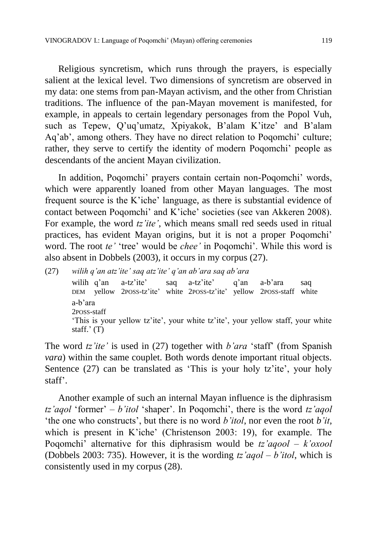Religious syncretism, which runs through the prayers, is especially salient at the lexical level. Two dimensions of syncretism are observed in my data: one stems from pan-Mayan activism, and the other from Christian traditions. The influence of the pan-Mayan movement is manifested, for example, in appeals to certain legendary personages from the Popol Vuh, such as Tepew, Q'uq'umatz, Xpiyakok, B'alam K'itze' and B'alam Aq'ab', among others. They have no direct relation to Poqomchi' culture; rather, they serve to certify the identity of modern Poqomchi' people as descendants of the ancient Mayan civilization.

In addition, Poqomchi' prayers contain certain non-Poqomchi' words, which were apparently loaned from other Mayan languages. The most frequent source is the K'iche' language, as there is substantial evidence of contact between Poqomchi' and K'iche' societies (see van Akkeren 2008). For example, the word *tz'ite'*, which means small red seeds used in ritual practices, has evident Mayan origins, but it is not a proper Poqomchi' word. The root *te'* 'tree' would be *chee'* in Poqomchi'. While this word is also absent in Dobbels (2003), it occurs in my corpus (27).

(27) *wilih q'an atz'ite' saq atz'ite' q'an ab'ara saq ab'ara* wilih q'an a-tz'ite' saq a-tz'ite' q'an a-b'ara saq DEM yellow 2POSS-tz'ite' white 2POSS-tz'ite' yellow 2POSS-staff white a-b'ara 2POSS-staff 'This is your yellow tz'ite', your white tz'ite', your yellow staff, your white staff.' (T)

The word *tz'ite'* is used in (27) together with *b'ara* 'staff' (from Spanish *vara*) within the same couplet. Both words denote important ritual objects. Sentence (27) can be translated as 'This is your holy tz'ite', your holy staff'.

Another example of such an internal Mayan influence is the diphrasism *tz'aqol* 'former' – *b'itol* 'shaper'. In Poqomchi', there is the word *tz'aqol* 'the one who constructs', but there is no word *b'itol*, nor even the root *b'it*, which is present in K'iche' (Christenson 2003: 19), for example. The Poqomchi' alternative for this diphrasism would be *tz'aqool* – *k'oxool* (Dobbels 2003: 735). However, it is the wording *tz'aqol* – *b'itol*, which is consistently used in my corpus (28).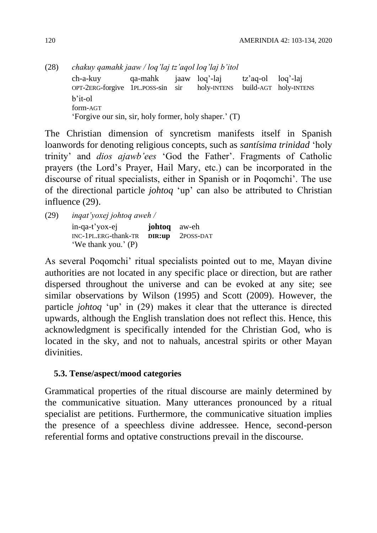(28) *chakuy qamahk jaaw / loq'laj tz'aqol loq'laj b'itol* ch-a-kuy qa-mahk jaaw loq'-laj tz'aq-ol loq'-laj OPT-2ERG-forgive 1PL.POSS-sin sir holy-INTENS build-AGT holy-INTENS b'it-ol form-AGT 'Forgive our sin, sir, holy former, holy shaper.' (T)

The Christian dimension of syncretism manifests itself in Spanish loanwords for denoting religious concepts, such as *santísima trinidad* 'holy trinity' and *dios ajawb'ees* 'God the Father'. Fragments of Catholic prayers (the Lord's Prayer, Hail Mary, etc.) can be incorporated in the discourse of ritual specialists, either in Spanish or in Poqomchi'. The use of the directional particle *johtoq* 'up' can also be attributed to Christian influence (29).

(29) *inqat'yoxej johtoq aweh /*

in-qa-t'yox-ej **johtoq** aw-eh INC-1PL.ERG-thank-TR **DIR:up** 2POSS-DAT 'We thank you.' (P)

As several Poqomchi' ritual specialists pointed out to me, Mayan divine authorities are not located in any specific place or direction, but are rather dispersed throughout the universe and can be evoked at any site; see similar observations by Wilson (1995) and Scott (2009). However, the particle *johtoq* 'up' in (29) makes it clear that the utterance is directed upwards, although the English translation does not reflect this. Hence, this acknowledgment is specifically intended for the Christian God, who is located in the sky, and not to nahuals, ancestral spirits or other Mayan divinities.

## **5.3. Tense/aspect/mood categories**

Grammatical properties of the ritual discourse are mainly determined by the communicative situation. Many utterances pronounced by a ritual specialist are petitions. Furthermore, the communicative situation implies the presence of a speechless divine addressee. Hence, second-person referential forms and optative constructions prevail in the discourse.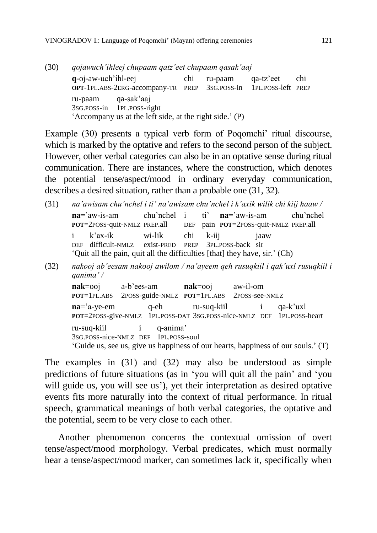| (30) | qojawuch'ihleej chupaam qatz'eet chupaam qasak'aaj |                                                                                       |     |         |           |     |
|------|----------------------------------------------------|---------------------------------------------------------------------------------------|-----|---------|-----------|-----|
|      | q-oj-aw-uch'ihl-eej                                | OPT-1PL.ABS-2ERG-accompany-TR PREP 3sG.POSS-in 1PL.POSS-left PREP                     | chi | ru-paam | qa-tz'eet | chi |
|      | ru-paam qa-sak'aaj                                 | 3sG.POSS-in 1PL.POSS-right<br>'Accompany us at the left side, at the right side.' (P) |     |         |           |     |

Example (30) presents a typical verb form of Poqomchi' ritual discourse, which is marked by the optative and refers to the second person of the subject. However, other verbal categories can also be in an optative sense during ritual communication. There are instances, where the construction, which denotes the potential tense/aspect/mood in ordinary everyday communication, describes a desired situation, rather than a probable one (31, 32).

- (31) *na'awisam chu'nchel i ti' na'awisam chu'nchel i k'axik wilik chi kiij haaw /* **na**='aw-is-am chu'nchel i ti' **na**='aw-is-am chu'nchel **POT**=2POSS-quit-NMLZ PREP.all DEF pain **POT**=2POSS-quit-NMLZ PREP.all i k'ax-ik wi-lik chi k-iij jaaw DEF difficult-NMLZ exist-PRED PREP 3PL.POSS-back sir 'Quit all the pain, quit all the difficulties [that] they have, sir.' (Ch)
- (32) *nakooj ab'eesam nakooj awilom / na'ayeem qeh rusuqkiil i qak'uxl rusuqkiil i qanima' /*

**nak**=ooj a-b'ees-am **nak**=ooj aw-il-om **POT**=1PL.ABS 2POSS-guide-NMLZ **POT**=1PL.ABS 2POSS-see-NMLZ **na**='a-ye-em q-eh ru-suq-kiil i qa-k'uxl **POT**=2POSS-give-NMLZ 1PL.POSS-DAT 3SG.POSS-nice-NMLZ DEF 1PL.POSS-heart ru-suq-kiil i q-anima' 3SG.POSS-nice-NMLZ DEF 1PL.POSS-soul 'Guide us, see us, give us happiness of our hearts, happiness of our souls.' (T)

The examples in (31) and (32) may also be understood as simple predictions of future situations (as in 'you will quit all the pain' and 'you will guide us, you will see us'), yet their interpretation as desired optative events fits more naturally into the context of ritual performance. In ritual speech, grammatical meanings of both verbal categories, the optative and the potential, seem to be very close to each other.

Another phenomenon concerns the contextual omission of overt tense/aspect/mood morphology. Verbal predicates, which must normally bear a tense/aspect/mood marker, can sometimes lack it, specifically when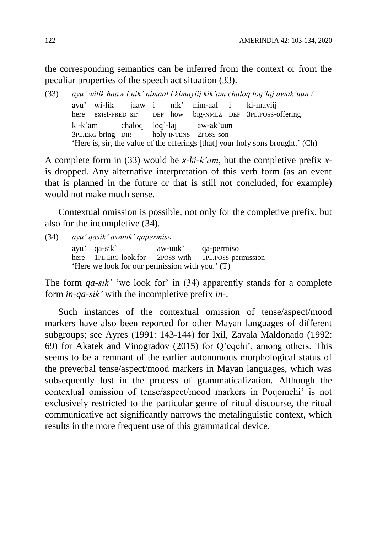the corresponding semantics can be inferred from the context or from the peculiar properties of the speech act situation (33).

(33) *ayu' wilik haaw i nik' nimaal i kimayiij kik'am chaloq loq'laj awak'uun /* ayu' wi-lik jaaw i nik' nim-aal i ki-mayiij here exist-PRED sir DEF how big-NMLZ DEF 3PL.POSS-offering ki-k'am chaloq loq'-laj aw-ak'uun 3PL.ERG-bring DIR holy-INTENS 2POSS-son 'Here is, sir, the value of the offerings [that] your holy sons brought.' (Ch)

A complete form in (33) would be *x-ki-k'am*, but the completive prefix *x*is dropped. Any alternative interpretation of this verb form (as an event that is planned in the future or that is still not concluded, for example) would not make much sense.

Contextual omission is possible, not only for the completive prefix, but also for the incompletive (34).

(34) *ayu' qasik' awuuk' qapermiso* ayu' qa-sik' aw-uuk' qa-permiso here 1PL.ERG-look.for 2POSS-with 1PL.POSS-permission 'Here we look for our permission with you.' (T)

The form *qa-sik'* 'we look for' in (34) apparently stands for a complete form *in-qa-sik'* with the incompletive prefix *in-*.

Such instances of the contextual omission of tense/aspect/mood markers have also been reported for other Mayan languages of different subgroups; see Ayres (1991: 143-144) for Ixil, Zavala Maldonado (1992: 69) for Akatek and Vinogradov (2015) for Q'eqchi', among others. This seems to be a remnant of the earlier autonomous morphological status of the preverbal tense/aspect/mood markers in Mayan languages, which was subsequently lost in the process of grammaticalization. Although the contextual omission of tense/aspect/mood markers in Poqomchi' is not exclusively restricted to the particular genre of ritual discourse, the ritual communicative act significantly narrows the metalinguistic context, which results in the more frequent use of this grammatical device.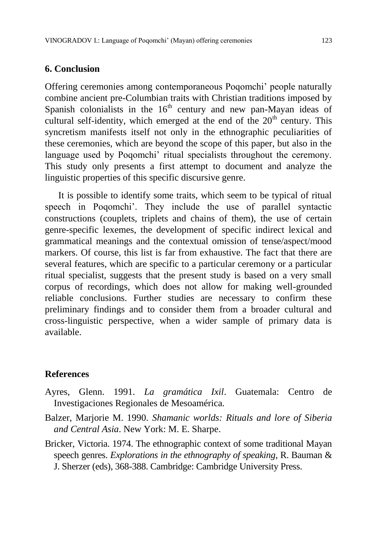### **6. Conclusion**

Offering ceremonies among contemporaneous Poqomchi' people naturally combine ancient pre-Columbian traits with Christian traditions imposed by Spanish colonialists in the  $16<sup>th</sup>$  century and new pan-Mayan ideas of cultural self-identity, which emerged at the end of the  $20<sup>th</sup>$  century. This syncretism manifests itself not only in the ethnographic peculiarities of these ceremonies, which are beyond the scope of this paper, but also in the language used by Poqomchi' ritual specialists throughout the ceremony. This study only presents a first attempt to document and analyze the linguistic properties of this specific discursive genre.

It is possible to identify some traits, which seem to be typical of ritual speech in Poqomchi'. They include the use of parallel syntactic constructions (couplets, triplets and chains of them), the use of certain genre-specific lexemes, the development of specific indirect lexical and grammatical meanings and the contextual omission of tense/aspect/mood markers. Of course, this list is far from exhaustive. The fact that there are several features, which are specific to a particular ceremony or a particular ritual specialist, suggests that the present study is based on a very small corpus of recordings, which does not allow for making well-grounded reliable conclusions. Further studies are necessary to confirm these preliminary findings and to consider them from a broader cultural and cross-linguistic perspective, when a wider sample of primary data is available.

### **References**

- Ayres, Glenn. 1991. *La gramática Ixil*. Guatemala: Centro de Investigaciones Regionales de Mesoamérica.
- Balzer, Marjorie M. 1990. *Shamanic worlds: Rituals and lore of Siberia and Central Asia*. New York: M. E. Sharpe.
- Bricker, Victoria. 1974. The ethnographic context of some traditional Mayan speech genres. *Explorations in the ethnography of speaking*, R. Bauman & J. Sherzer (eds), 368-388. Cambridge: Cambridge University Press.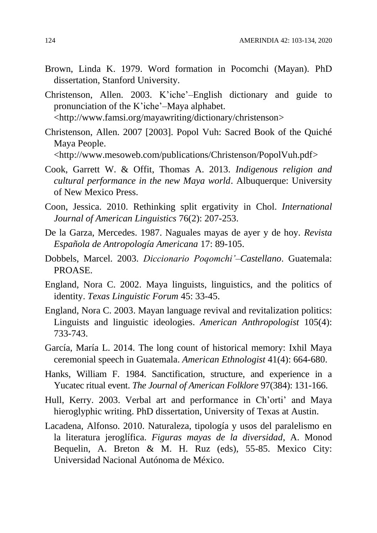- Brown, Linda K. 1979. Word formation in Pocomchi (Mayan). PhD dissertation, Stanford University.
- Christenson, Allen. 2003. K'iche'–English dictionary and guide to pronunciation of the K'iche'–Maya alphabet. [<http://www.famsi.org/mayawriting/dictionary/christenson>](http://www.famsi.org/mayawriting/dictionary/christenson)
- Christenson, Allen. 2007 [2003]. Popol Vuh: Sacred Book of the Quiché Maya People.

[<http://www.mesoweb.com/publications/Christenson/PopolVuh.pdf>](http://www.mesoweb.com/publications/Christenson/PopolVuh.pdf)

- Cook, Garrett W. & Offit, Thomas A. 2013. *Indigenous religion and cultural performance in the new Maya world*. Albuquerque: University of New Mexico Press.
- Coon, Jessica. 2010. Rethinking split ergativity in Chol. *International Journal of American Linguistics* 76(2): 207-253.
- De la Garza, Mercedes. 1987. Naguales mayas de ayer y de hoy. *Revista Española de Antropología Americana* 17: 89-105.
- Dobbels, Marcel. 2003. *Diccionario Poqomchi'–Castellano*. Guatemala: PROASE.
- England, Nora C. 2002. Maya linguists, linguistics, and the politics of identity. *Texas Linguistic Forum* 45: 33-45.
- England, Nora C. 2003. Mayan language revival and revitalization politics: Linguists and linguistic ideologies. *American Anthropologist* 105(4): 733-743.
- García, María L. 2014. The long count of historical memory: Ixhil Maya ceremonial speech in Guatemala. *American Ethnologist* 41(4): 664-680.
- Hanks, William F. 1984. Sanctification, structure, and experience in a Yucatec ritual event. *The Journal of American Folklore* 97(384): 131-166.
- Hull, Kerry. 2003. Verbal art and performance in Ch'orti' and Maya hieroglyphic writing. PhD dissertation, University of Texas at Austin.
- Lacadena, Alfonso. 2010. Naturaleza, tipología y usos del paralelismo en la literatura jeroglífica. *Figuras mayas de la diversidad*, A. Monod Bequelin, A. Breton & M. H. Ruz (eds), 55-85. Mexico City: Universidad Nacional Autónoma de México.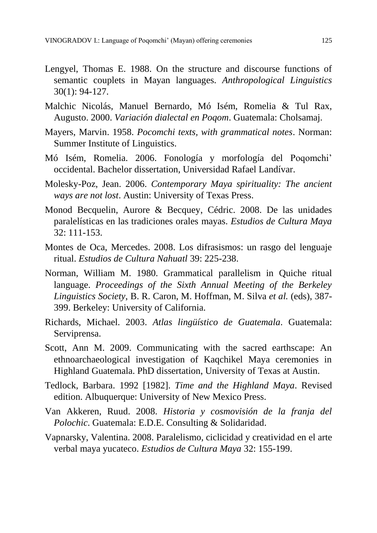- Lengyel, Thomas E. 1988. On the structure and discourse functions of semantic couplets in Mayan languages. *Anthropological Linguistics* 30(1): 94-127.
- Malchic Nicolás, Manuel Bernardo, Mó Isém, Romelia & Tul Rax, Augusto. 2000. *Variación dialectal en Poqom*. Guatemala: Cholsamaj.
- Mayers, Marvin. 1958. *Pocomchi texts, with grammatical notes*. Norman: Summer Institute of Linguistics.
- Mó Isém, Romelia. 2006. Fonología y morfología del Poqomchi' occidental. Bachelor dissertation, Universidad Rafael Landívar.
- Molesky-Poz, Jean. 2006. *Contemporary Maya spirituality: The ancient ways are not lost*. Austin: University of Texas Press.
- Monod Becquelin, Aurore & Becquey, Cédric. 2008. De las unidades paralelísticas en las tradiciones orales mayas. *Estudios de Cultura Maya*  32: 111-153.
- Montes de Oca, Mercedes. 2008. Los difrasismos: un rasgo del lenguaje ritual. *Estudios de Cultura Nahuatl* 39: 225-238.
- Norman, William M. 1980. Grammatical parallelism in Quiche ritual language. *Proceedings of the Sixth Annual Meeting of the Berkeley Linguistics Society*, B. R. Caron, M. Hoffman, M. Silva *et al.* (eds), 387- 399. Berkeley: University of California.
- Richards, Michael. 2003. *Atlas lingüístico de Guatemala*. Guatemala: Serviprensa.
- Scott, Ann M. 2009. Communicating with the sacred earthscape: An ethnoarchaeological investigation of Kaqchikel Maya ceremonies in Highland Guatemala. PhD dissertation, University of Texas at Austin.
- Tedlock, Barbara. 1992 [1982]. *Time and the Highland Maya*. Revised edition. Albuquerque: University of New Mexico Press.
- Van Akkeren, Ruud. 2008. *Historia y cosmovisión de la franja del Polochic*. Guatemala: E.D.E. Consulting & Solidaridad.
- Vapnarsky, Valentina. 2008. Paralelismo, ciclicidad y creatividad en el arte verbal maya yucateco. *Estudios de Cultura Maya* 32: 155-199.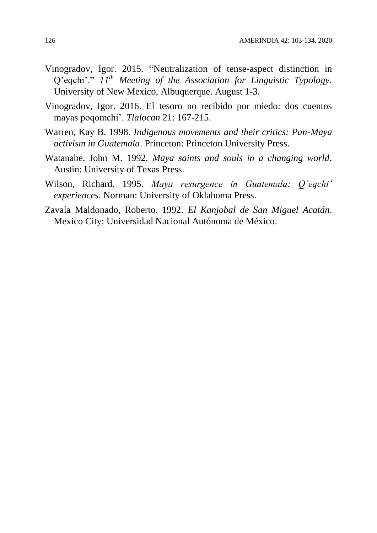- Vinogradov, Igor. 2015. "Neutralization of tense-aspect distinction in Q'eqchi'." *11th Meeting of the Association for Linguistic Typology.* University of New Mexico, Albuquerque. August 1-3.
- Vinogradov, Igor. 2016. El tesoro no recibido por miedo: dos cuentos mayas poqomchi'. *Tlalocan* 21: 167-215.
- Warren, Kay B. 1998. *Indigenous movements and their critics: Pan-Maya activism in Guatemala*. Princeton: Princeton University Press.
- Watanabe, John M. 1992. *Maya saints and souls in a changing world*. Austin: University of Texas Press.
- Wilson, Richard. 1995. *Maya resurgence in Guatemala: Q'eqchi' experiences*. Norman: University of Oklahoma Press.
- Zavala Maldonado, Roberto. 1992. *El Kanjobal de San Miguel Acatán*. Mexico City: Universidad Nacional Autónoma de México.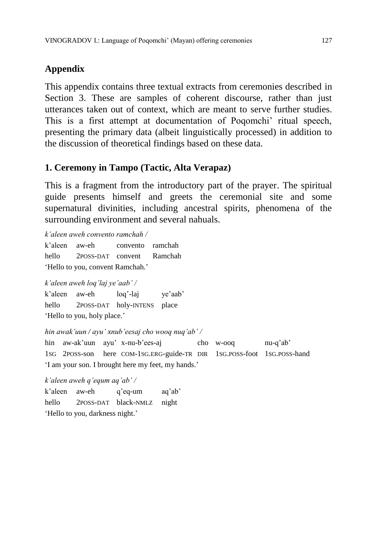# **Appendix**

This appendix contains three textual extracts from ceremonies described in Section 3. These are samples of coherent discourse, rather than just utterances taken out of context, which are meant to serve further studies. This is a first attempt at documentation of Poqomchi' ritual speech, presenting the primary data (albeit linguistically processed) in addition to the discussion of theoretical findings based on these data.

## **1. Ceremony in Tampo (Tactic, Alta Verapaz)**

This is a fragment from the introductory part of the prayer. The spiritual guide presents himself and greets the ceremonial site and some supernatural divinities, including ancestral spirits, phenomena of the surrounding environment and several nahuals.

*k'aleen aweh convento ramchah /*

k'aleen aw-eh convento ramchah hello 2POSS-DAT convent Ramchah 'Hello to you, convent Ramchah.'

*k'aleen aweh loq'laj ye'aab' /*

k'aleen aw-eh loq'-laj ye'aab' hello 2POSS-DAT holy-INTENS place 'Hello to you, holy place.'

*hin awak'uun / ayu' xnub'eesaj cho wooq nuq'ab' /*

hin aw-ak'uun ayu' x-nu-b'ees-aj cho w-ooq nu-q'ab' 1SG 2POSS-son here COM-1SG.ERG-guide-TR DIR 1SG.POSS-foot 1SG.POSS-hand 'I am your son. I brought here my feet, my hands.'

*k'aleen aweh q'equm aq'ab' /*

k'aleen aw-eh q'eq-um aq'ab' hello 2POSS-DAT black-NMLZ night 'Hello to you, darkness night.'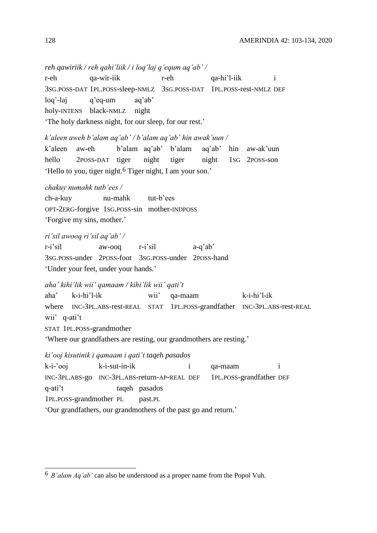*reh qawiriik / reh qahi'liik / i loq'laj q'equm aq'ab' /* r-eh qa-wir-iik r-eh qa-hi'l-iik i 3SG.POSS-DAT 1PL.POSS-sleep-NMLZ 3SG.POSS-DAT 1PL.POSS-rest-NMLZ DEF loq'-laj q'eq-um aq'ab' holy-INTENS black-NMLZ night 'The holy darkness night, for our sleep, for our rest.' *k'aleen aweh b'alam aq'ab' / b'alam aq'ab' hin awak'uun /* k'aleen aw-eh b'alam aq'ab' b'alam aq'ab' hin aw-ak'uun hello 2POSS-DAT tiger night tiger night 1SG 2POSS-son 'Hello to you, tiger night.6 Tiger night, I am your son.' *chakuy numahk tutb'ees /* ch-a-kuy nu-mahk tut-b'ees OPT-2ERG-forgive 1SG.POSS-sin mother-INDPOSS 'Forgive my sins, mother.' *ri'sil awooq ri'sil aq'ab' /* r-i'sil aw-ooq r-i'sil a-q'ab' 3SG.POSS-under 2POSS-foot 3SG.POSS-under 2POSS-hand 'Under your feet, under your hands.' *aha' kihi'lik wii' qamaam / kihi'lik wii' qati't* aha' k-i-hi'l-ik wii' qa-maam k-i-hi'l-ik where INC-3PL.ABS-rest-REAL STAT 1PL.POSS-grandfather INC-3PL.ABS-rest-REAL wii' q-ati't STAT 1PL.POSS-grandmother 'Where our grandfathers are resting, our grandmothers are resting.' *ki'ooj kisutinik i qamaam i qati't taqeh pasados*

k-i-'ooj k-i-sut-in-ik i qa-maam i INC-3PL.ABS-go INC-3PL.ABS-return-AP-REAL DEF 1PL.POSS-grandfather DEF q-ati't taqeh pasados 1PL.POSS-grandmother PL past.PL 'Our grandfathers, our grandmothers of the past go and return.'

 $\overline{a}$ 6 *B'alam Aq'ab'* can also be understood as a proper name from the Popol Vuh.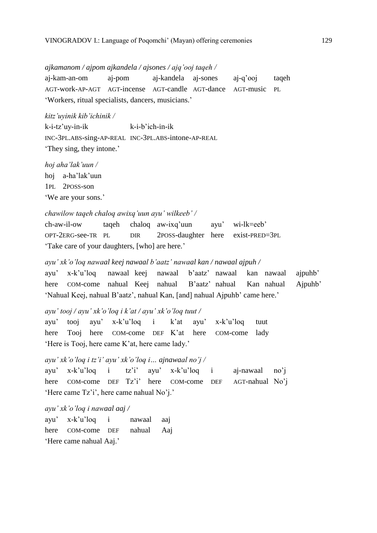#### *ajkamanom / ajpom ajkandela / ajsones / ajq'ooj taqeh /*

aj-kam-an-om aj-pom aj-kandela aj-sones aj-q'ooj taqeh AGT-work-AP-AGT AGT-incense AGT-candle AGT-dance AGT-music PL 'Workers, ritual specialists, dancers, musicians.'

*kitz'uyinik kib'ichinik /*

k-i-tz'uy-in-ik k-i-b'ich-in-ik INC-3PL.ABS-sing-AP-REAL INC-3PL.ABS-intone-AP-REAL 'They sing, they intone.'

*hoj aha'lak'uun /* hoj a-ha'lak'uun 1PL 2POSS-son 'We are your sons.'

#### *chawilow taqeh chaloq awixq'uun ayu' wilkeeb' /*

ch-aw-il-ow taqeh chaloq aw-ixq'uun ayu' wi-lk=eeb' OPT-2ERG-see-TR PL DIR 2POSS-daughter here exist-PRED=3PL 'Take care of your daughters, [who] are here.'

*ayu' xk'o'loq nawaal keej nawaal b'aatz' nawaal kan / nawaal ajpuh /*

ayu' x-k'u'loq nawaal keej nawaal b'aatz' nawaal kan nawaal ajpuhb' here COM-come nahual Keej nahual B'aatz' nahual Kan nahual Ajpuhb' 'Nahual Keej, nahual B'aatz', nahual Kan, [and] nahual Ajpuhb' came here.'

#### *ayu' tooj / ayu' xk'o'loq i k'at / ayu' xk'o'loq tuut /*

ayu' tooj ayu' x-k'u'loq i k'at ayu' x-k'u'loq tuut here Tooj here COM-come DEF K'at here COM-come lady 'Here is Tooj, here came K'at, here came lady.'

*ayu' xk'o'loq i tz'i' ayu' xk'o'loq i… ajnawaal no'j /*

ayu' x-k'u'loq i tz'i' ayu' x-k'u'loq i aj-nawaal no'j here COM-come DEF Tz'i' here COM-come DEF AGT-nahual No'j 'Here came Tz'i', here came nahual No'j.'

*ayu' xk'o'loq i nawaal aaj /*

ayu' x-k'u'loq i nawaal aaj here COM-come DEF nahual Aaj 'Here came nahual Aaj.'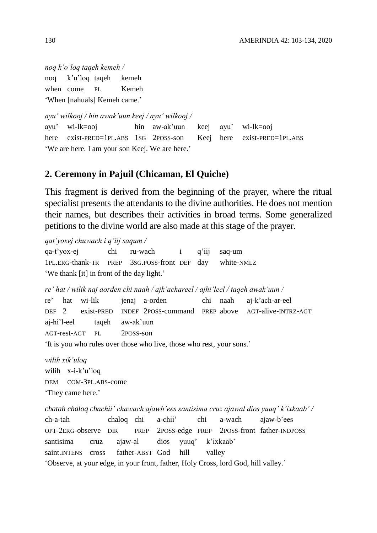*noq k'o'loq taqeh kemeh /* noq k'u'loq taqeh kemeh when come PL Kemeh 'When [nahuals] Kemeh came.'

*ayu' wilkooj / hin awak'uun keej / ayu' wilkooj /* ayu' wi-lk=ooj hin aw-ak'uun keej ayu' wi-lk=ooj here exist-PRED=1PL.ABS 1SG 2POSS-son Keej here exist-PRED=1PL.ABS 'We are here. I am your son Keej. We are here.'

## **2. Ceremony in Pajuil (Chicaman, El Quiche)**

This fragment is derived from the beginning of the prayer, where the ritual specialist presents the attendants to the divine authorities. He does not mention their names, but describes their activities in broad terms. Some generalized petitions to the divine world are also made at this stage of the prayer.

*qat'yoxej chuwach i q'iij saqum /* qa-t'yox-ej chi ru-wach i q'iij saq-um 1PL.ERG-thank-TR PREP 3SG.POSS-front DEF day white-NMLZ 'We thank [it] in front of the day light.'

*re' hat / wilik naj aorden chi naah / ajk'achareel / ajhi'leel / taqeh awak'uun /* re' hat wi-lik jenaj a-orden chi naah aj-k'ach-ar-eel DEF 2 exist-PRED INDEF 2POSS-command PREP above AGT-alive-INTRZ-AGT aj-hi'l-eel taqeh aw-ak'uun AGT-rest-AGT PL 2POSS-son 'It is you who rules over those who live, those who rest, your sons.'

*wilih xik'uloq* wilih x-i-k'u'loq DEM COM-3PL.ABS-come 'They came here.'

*chatah chaloq chachii' chawach ajawb'ees santisima cruz ajawal dios yuuq' k'ixkaab' /* ch-a-tah chaloq chi a-chii' chi a-wach ajaw-b'ees OPT-2ERG-observe DIR PREP 2POSS-edge PREP 2POSS-front father-INDPOSS santisima cruz ajaw-al dios yuuq' k'ixkaab' saint.INTENS cross father-ABST God hill valley 'Observe, at your edge, in your front, father, Holy Cross, lord God, hill valley.'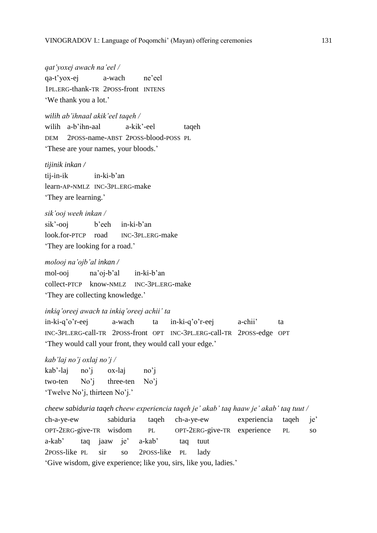*qat'yoxej awach na'eel /* qa-t'yox-ej a-wach ne'eel 1PL.ERG-thank-TR 2POSS-front INTENS 'We thank you a lot.'

*wilih ab'ihnaal akik'eel taqeh /* wilih a-b'ihn-aal a-kik'-eel taqeh DEM 2POSS-name-ABST 2POSS-blood-POSS PL 'These are your names, your bloods.'

*tijinik inkan /*

tij-in-ik in-ki-b'an learn-AP-NMLZ INC-3PL.ERG-make 'They are learning.'

*sik'ooj weeh inkan /* sik'-ooj b'eeh in-ki-b'an look.for-PTCP road INC-3PL.ERG-make 'They are looking for a road.'

#### *molooj na'ojb'al inkan /*

mol-ooj na'oj-b'al in-ki-b'an collect-PTCP know-NMLZ INC-3PL.ERG-make 'They are collecting knowledge.'

*inkiq'oreej awach ta inkiq'oreej achii' ta*

in-ki-q'o'r-eej a-wach ta in-ki-q'o'r-eej a-chii' ta INC-3PL.ERG-call-TR 2POSS-front OPT INC-3PL.ERG-call-TR 2POSS-edge OPT 'They would call your front, they would call your edge.'

*kab'laj no'j oxlaj no'j /*

kab'-laj no'j ox-laj no'j two-ten No'j three-ten No'j 'Twelve No'j, thirteen No'j.'

*cheew sabiduria taqeh cheew experiencia taqeh je' akab' taq haaw je' akab' taq tuut /* ch-a-ye-ew sabiduria taqeh ch-a-ye-ew experiencia taqeh je' OPT-2ERG-give-TR wisdom PL OPT-2ERG-give-TR experience PL so a-kab' taq jaaw je' a-kab' taq tuut 2POSS-like PL sir so 2POSS-like PL lady 'Give wisdom, give experience; like you, sirs, like you, ladies.'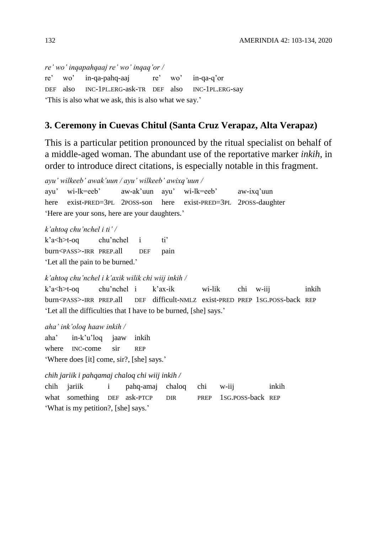*re' wo' inqapahqaaj re' wo' inqaq'or /* re' wo' in-qa-pahq-aaj re' wo' in-qa-q'or DEF also INC-1PL.ERG-ask-TR DEF also INC-1PL.ERG-say 'This is also what we ask, this is also what we say.'

### **3. Ceremony in Cuevas Chitul (Santa Cruz Verapaz, Alta Verapaz)**

This is a particular petition pronounced by the ritual specialist on behalf of a middle-aged woman. The abundant use of the reportative marker *inkih*, in order to introduce direct citations, is especially notable in this fragment.

*ayu' wilkeeb' awak'uun / ayu' wilkeeb' awixq'uun /* ayu' wi-lk=eeb' aw-ak'uun ayu' wi-lk=eeb' aw-ixq'uun here exist-PRED=3PL 2POSS-son here exist-PRED=3PL 2POSS-daughter 'Here are your sons, here are your daughters.'

*k'ahtoq chu'nchel i ti' /*

k'a<h>t-oq chu'nchel i ti' burn<PASS>-IRR PREP.all DEF pain 'Let all the pain to be burned.'

*k'ahtoq chu'nchel i k'axik wilik chi wiij inkih /*

k'a<h>t-oq chu'nchel i k'ax-ik wi-lik chi w-iij inkih burn<PASS>-IRR PREP.all DEF difficult-NMLZ exist-PRED PREP 1SG.POSS-back REP 'Let all the difficulties that I have to be burned, [she] says.'

*aha' ink'oloq haaw inkih /*

aha' in-k'u'loq jaaw inkih where INC-come sir REP 'Where does [it] come, sir?, [she] says.'

#### *chih jariik i pahqamaj chaloq chi wiij inkih /*

chih jariik i pahq-amaj chaloq chi w-iij inkih what something DEF ask-PTCP DIR PREP 1SG.POSS-back REP 'What is my petition?, [she] says.'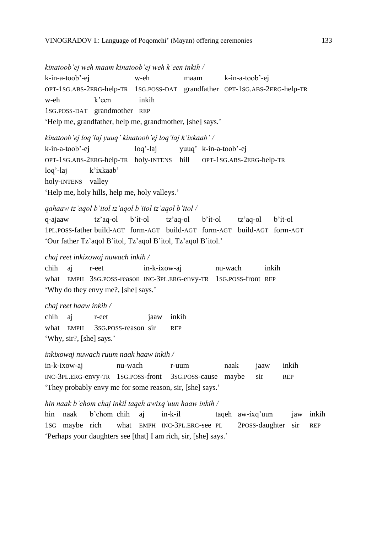#### *kinatoob'ej weh maam kinatoob'ej weh k'een inkih /*

k-in-a-toob'-ej w-eh maam k-in-a-toob'-ej OPT-1SG.ABS-2ERG-help-TR 1SG.POSS-DAT grandfather OPT-1SG.ABS-2ERG-help-TR w-eh k'een inkih 1SG.POSS-DAT grandmother REP 'Help me, grandfather, help me, grandmother, [she] says.'

*kinatoob'ej loq'laj yuuq' kinatoob'ej loq'laj k'ixkaab' /* k-in-a-toob'-ej loq'-laj yuuq' k-in-a-toob'-ej OPT-1SG.ABS-2ERG-help-TR holy-INTENS hill OPT-1SG.ABS-2ERG-help-TR loq'-laj k'ixkaab' holy-INTENS valley 'Help me, holy hills, help me, holy valleys.'

*qahaaw tz'aqol b'itol tz'aqol b'itol tz'aqol b'itol /* q-ajaaw tz'aq-ol b'it-ol tz'aq-ol b'it-ol tz'aq-ol b'it-ol 1PL.POSS-father build-AGT form-AGT build-AGT form-AGT build-AGT form-AGT 'Our father Tz'aqol B'itol, Tz'aqol B'itol, Tz'aqol B'itol.'

*chaj reet inkixowaj nuwach inkih /*

chih aj r-eet in-k-ixow-aj nu-wach inkih what EMPH 3SG.POSS-reason INC-3PL.ERG-envy-TR 1SG.POSS-front REP 'Why do they envy me?, [she] says.'

#### *chaj reet haaw inkih /*

chih aj r-eet jaaw inkih what EMPH 3SG.POSS-reason sir REP 'Why, sir?, [she] says.'

#### *inkixowaj nuwach ruum naak haaw inkih /*

in-k-ixow-aj nu-wach r-uum naak jaaw inkih INC-3PL.ERG-envy-TR 1SG.POSS-front 3SG.POSS-cause maybe sir REP 'They probably envy me for some reason, sir, [she] says.'

#### *hin naak b'ehom chaj inkil taqeh awixq'uun haaw inkih /*

hin naak b'ehom chih aj in-k-il taqeh aw-ixq'uun jaw inkih 1SG maybe rich what EMPH INC-3PL.ERG-see PL 2POSS-daughter sir REP 'Perhaps your daughters see [that] I am rich, sir, [she] says.'